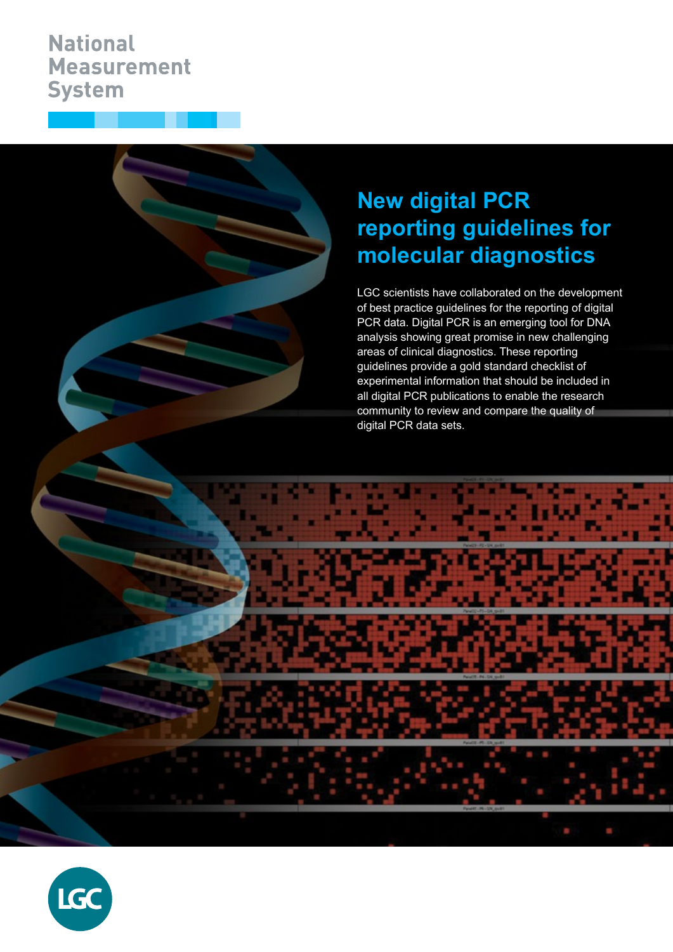## **National Measurement System**

# **New digital PCR reporting guidelines for molecular diagnostics**

LGC scientists have collaborated on the development of best practice guidelines for the reporting of digital PCR data. Digital PCR is an emerging tool for DNA analysis showing great promise in new challenging areas of clinical diagnostics. These reporting guidelines provide a gold standard checklist of experimental information that should be included in all digital PCR publications to enable the research community to review and compare the quality of digital PCR data sets.